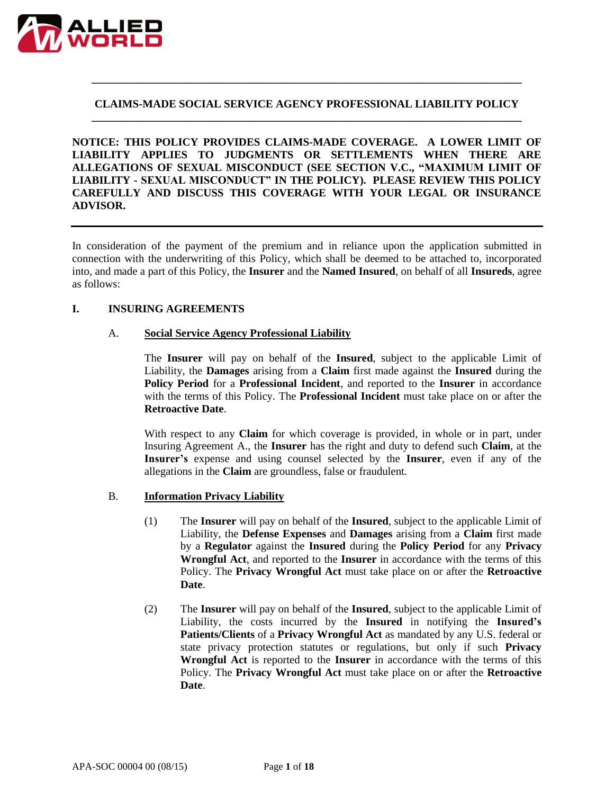

### **CLAIMS-MADE SOCIAL SERVICE AGENCY PROFESSIONAL LIABILITY POLICY \_\_\_\_\_\_\_\_\_\_\_\_\_\_\_\_\_\_\_\_\_\_\_\_\_\_\_\_\_\_\_\_\_\_\_\_\_\_\_\_\_\_\_\_\_\_\_\_\_\_\_\_\_\_\_\_\_\_\_\_\_\_\_\_\_\_\_\_\_\_\_\_\_\_\_\_\_\_**

**\_\_\_\_\_\_\_\_\_\_\_\_\_\_\_\_\_\_\_\_\_\_\_\_\_\_\_\_\_\_\_\_\_\_\_\_\_\_\_\_\_\_\_\_\_\_\_\_\_\_\_\_\_\_\_\_\_\_\_\_\_\_\_\_\_\_\_\_\_\_\_\_\_\_\_\_\_\_**

**NOTICE: THIS POLICY PROVIDES CLAIMS-MADE COVERAGE. A LOWER LIMIT OF LIABILITY APPLIES TO JUDGMENTS OR SETTLEMENTS WHEN THERE ARE ALLEGATIONS OF SEXUAL MISCONDUCT (SEE SECTION V.C., "MAXIMUM LIMIT OF LIABILITY - SEXUAL MISCONDUCT" IN THE POLICY). PLEASE REVIEW THIS POLICY CAREFULLY AND DISCUSS THIS COVERAGE WITH YOUR LEGAL OR INSURANCE ADVISOR.**

In consideration of the payment of the premium and in reliance upon the application submitted in connection with the underwriting of this Policy, which shall be deemed to be attached to, incorporated into, and made a part of this Policy, the **Insurer** and the **Named Insured**, on behalf of all **Insureds**, agree as follows:

### **I. INSURING AGREEMENTS**

#### A. **Social Service Agency Professional Liability**

The **Insurer** will pay on behalf of the **Insured**, subject to the applicable Limit of Liability, the **Damages** arising from a **Claim** first made against the **Insured** during the **Policy Period** for a **Professional Incident**, and reported to the **Insurer** in accordance with the terms of this Policy. The **Professional Incident** must take place on or after the **Retroactive Date**.

With respect to any **Claim** for which coverage is provided, in whole or in part, under Insuring Agreement A., the **Insurer** has the right and duty to defend such **Claim**, at the **Insurer's** expense and using counsel selected by the **Insurer**, even if any of the allegations in the **Claim** are groundless, false or fraudulent.

#### B. **Information Privacy Liability**

- (1) The **Insurer** will pay on behalf of the **Insured**, subject to the applicable Limit of Liability, the **Defense Expenses** and **Damages** arising from a **Claim** first made by a **Regulator** against the **Insured** during the **Policy Period** for any **Privacy Wrongful Act**, and reported to the **Insurer** in accordance with the terms of this Policy. The **Privacy Wrongful Act** must take place on or after the **Retroactive Date**.
- (2) The **Insurer** will pay on behalf of the **Insured**, subject to the applicable Limit of Liability, the costs incurred by the **Insured** in notifying the **Insured's Patients/Clients** of a **Privacy Wrongful Act** as mandated by any U.S. federal or state privacy protection statutes or regulations, but only if such **Privacy Wrongful Act** is reported to the **Insurer** in accordance with the terms of this Policy. The **Privacy Wrongful Act** must take place on or after the **Retroactive Date**.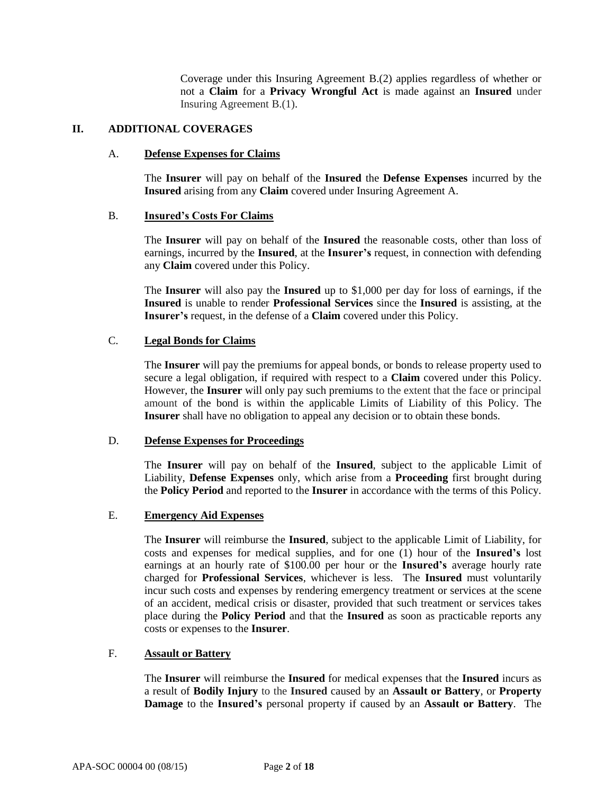Coverage under this Insuring Agreement B.(2) applies regardless of whether or not a **Claim** for a **Privacy Wrongful Act** is made against an **Insured** under Insuring Agreement B.(1).

### **II. ADDITIONAL COVERAGES**

### A. **Defense Expenses for Claims**

The **Insurer** will pay on behalf of the **Insured** the **Defense Expenses** incurred by the **Insured** arising from any **Claim** covered under Insuring Agreement A.

### B. **Insured's Costs For Claims**

The **Insurer** will pay on behalf of the **Insured** the reasonable costs, other than loss of earnings, incurred by the **Insured**, at the **Insurer's** request, in connection with defending any **Claim** covered under this Policy.

The **Insurer** will also pay the **Insured** up to \$1,000 per day for loss of earnings, if the **Insured** is unable to render **Professional Services** since the **Insured** is assisting, at the **Insurer's** request, in the defense of a **Claim** covered under this Policy.

### C. **Legal Bonds for Claims**

The **Insurer** will pay the premiums for appeal bonds, or bonds to release property used to secure a legal obligation, if required with respect to a **Claim** covered under this Policy. However, the **Insurer** will only pay such premiums to the extent that the face or principal amount of the bond is within the applicable Limits of Liability of this Policy. The **Insurer** shall have no obligation to appeal any decision or to obtain these bonds.

#### D. **Defense Expenses for Proceedings**

The **Insurer** will pay on behalf of the **Insured**, subject to the applicable Limit of Liability, **Defense Expenses** only, which arise from a **Proceeding** first brought during the **Policy Period** and reported to the **Insurer** in accordance with the terms of this Policy.

# E. **Emergency Aid Expenses**

The **Insurer** will reimburse the **Insured**, subject to the applicable Limit of Liability, for costs and expenses for medical supplies, and for one (1) hour of the **Insured's** lost earnings at an hourly rate of \$100.00 per hour or the **Insured's** average hourly rate charged for **Professional Services**, whichever is less. The **Insured** must voluntarily incur such costs and expenses by rendering emergency treatment or services at the scene of an accident, medical crisis or disaster, provided that such treatment or services takes place during the **Policy Period** and that the **Insured** as soon as practicable reports any costs or expenses to the **Insurer**.

## F. **Assault or Battery**

The **Insurer** will reimburse the **Insured** for medical expenses that the **Insured** incurs as a result of **Bodily Injury** to the **Insured** caused by an **Assault or Battery**, or **Property Damage** to the **Insured's** personal property if caused by an **Assault or Battery**. The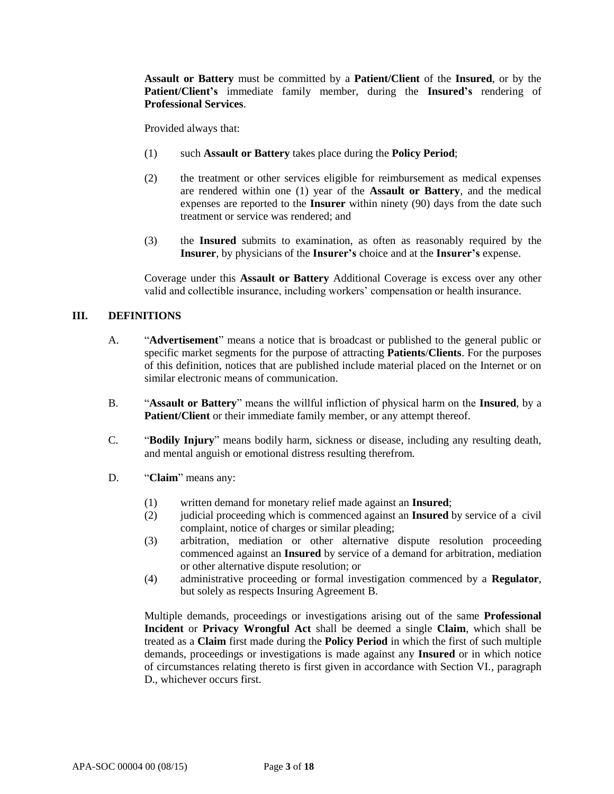**Assault or Battery** must be committed by a **Patient/Client** of the **Insured**, or by the **Patient/Client's** immediate family member, during the **Insured's** rendering of **Professional Services**.

Provided always that:

- (1) such **Assault or Battery** takes place during the **Policy Period**;
- (2) the treatment or other services eligible for reimbursement as medical expenses are rendered within one (1) year of the **Assault or Battery**, and the medical expenses are reported to the **Insurer** within ninety (90) days from the date such treatment or service was rendered; and
- (3) the **Insured** submits to examination, as often as reasonably required by the **Insurer**, by physicians of the **Insurer's** choice and at the **Insurer's** expense.

Coverage under this **Assault or Battery** Additional Coverage is excess over any other valid and collectible insurance, including workers' compensation or health insurance.

### **III. DEFINITIONS**

- A. "**Advertisement**" means a notice that is broadcast or published to the general public or specific market segments for the purpose of attracting **Patients**/**Clients**. For the purposes of this definition, notices that are published include material placed on the Internet or on similar electronic means of communication.
- B. "**Assault or Battery**" means the willful infliction of physical harm on the **Insured**, by a **Patient/Client** or their immediate family member, or any attempt thereof.
- C. "**Bodily Injury**" means bodily harm, sickness or disease, including any resulting death, and mental anguish or emotional distress resulting therefrom.
- D. "**Claim**" means any:
	- (1) written demand for monetary relief made against an **Insured**;
	- (2) judicial proceeding which is commenced against an **Insured** by service of a civil complaint, notice of charges or similar pleading;
	- (3) arbitration, mediation or other alternative dispute resolution proceeding commenced against an **Insured** by service of a demand for arbitration, mediation or other alternative dispute resolution; or
	- (4) administrative proceeding or formal investigation commenced by a **Regulator**, but solely as respects Insuring Agreement B.

Multiple demands, proceedings or investigations arising out of the same **Professional Incident** or **Privacy Wrongful Act** shall be deemed a single **Claim**, which shall be treated as a **Claim** first made during the **Policy Period** in which the first of such multiple demands, proceedings or investigations is made against any **Insured** or in which notice of circumstances relating thereto is first given in accordance with Section VI., paragraph D., whichever occurs first.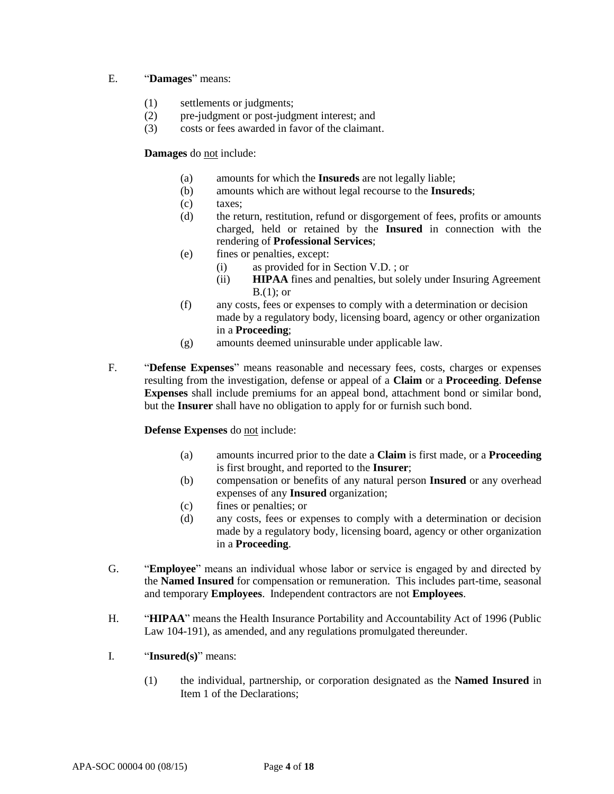## E. "**Damages**" means:

- (1) settlements or judgments;
- (2) pre-judgment or post-judgment interest; and
- (3) costs or fees awarded in favor of the claimant.

## **Damages** do not include:

- (a) amounts for which the **Insureds** are not legally liable;
- (b) amounts which are without legal recourse to the **Insureds**;
- (c) taxes;
- (d) the return, restitution, refund or disgorgement of fees, profits or amounts charged, held or retained by the **Insured** in connection with the rendering of **Professional Services**;
- (e) fines or penalties, except:
	- (i) as provided for in Section V.D. ; or
	- (ii) **HIPAA** fines and penalties, but solely under Insuring Agreement  $B(1)$ ; or
- (f) any costs, fees or expenses to comply with a determination or decision made by a regulatory body, licensing board, agency or other organization in a **Proceeding**;
- (g) amounts deemed uninsurable under applicable law.
- F. "**Defense Expenses**" means reasonable and necessary fees, costs, charges or expenses resulting from the investigation, defense or appeal of a **Claim** or a **Proceeding**. **Defense Expenses** shall include premiums for an appeal bond, attachment bond or similar bond, but the **Insurer** shall have no obligation to apply for or furnish such bond.

**Defense Expenses** do not include:

- (a) amounts incurred prior to the date a **Claim** is first made, or a **Proceeding** is first brought, and reported to the **Insurer**;
- (b) compensation or benefits of any natural person **Insured** or any overhead expenses of any **Insured** organization;
- (c) fines or penalties; or
- (d) any costs, fees or expenses to comply with a determination or decision made by a regulatory body, licensing board, agency or other organization in a **Proceeding**.
- G. "**Employee**" means an individual whose labor or service is engaged by and directed by the **Named Insured** for compensation or remuneration. This includes part-time, seasonal and temporary **Employees**. Independent contractors are not **Employees**.
- H. "**HIPAA**" means the Health Insurance Portability and Accountability Act of 1996 (Public Law 104-191), as amended, and any regulations promulgated thereunder.
- I. "**Insured(s)**" means:
	- (1) the individual, partnership, or corporation designated as the **Named Insured** in Item 1 of the Declarations;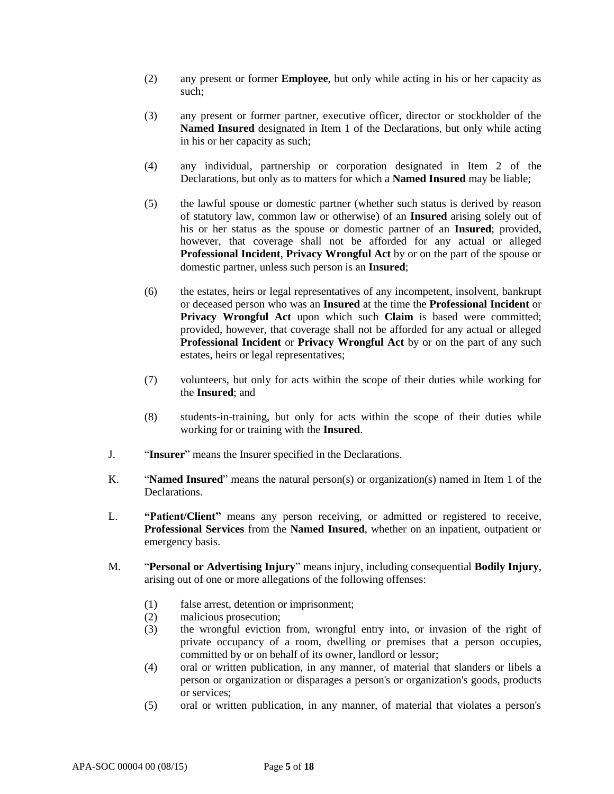- (2) any present or former **Employee**, but only while acting in his or her capacity as such;
- (3) any present or former partner, executive officer, director or stockholder of the **Named Insured** designated in Item 1 of the Declarations, but only while acting in his or her capacity as such;
- (4) any individual, partnership or corporation designated in Item 2 of the Declarations, but only as to matters for which a **Named Insured** may be liable;
- (5) the lawful spouse or domestic partner (whether such status is derived by reason of statutory law, common law or otherwise) of an **Insured** arising solely out of his or her status as the spouse or domestic partner of an **Insured**; provided, however, that coverage shall not be afforded for any actual or alleged **Professional Incident**, **Privacy Wrongful Act** by or on the part of the spouse or domestic partner, unless such person is an **Insured**;
- (6) the estates, heirs or legal representatives of any incompetent, insolvent, bankrupt or deceased person who was an **Insured** at the time the **Professional Incident** or **Privacy Wrongful Act** upon which such **Claim** is based were committed; provided, however, that coverage shall not be afforded for any actual or alleged **Professional Incident** or **Privacy Wrongful Act** by or on the part of any such estates, heirs or legal representatives;
- (7) volunteers, but only for acts within the scope of their duties while working for the **Insured**; and
- (8) students-in-training, but only for acts within the scope of their duties while working for or training with the **Insured**.
- J. "**Insurer**" means the Insurer specified in the Declarations.
- K. "**Named Insured**" means the natural person(s) or organization(s) named in Item 1 of the Declarations.
- L. **"Patient/Client"** means any person receiving, or admitted or registered to receive, **Professional Services** from the **Named Insured**, whether on an inpatient, outpatient or emergency basis.
- M. "**Personal or Advertising Injury**" means injury, including consequential **Bodily Injury**, arising out of one or more allegations of the following offenses:
	- (1) false arrest, detention or imprisonment;
	- (2) malicious prosecution;
	- (3) the wrongful eviction from, wrongful entry into, or invasion of the right of private occupancy of a room, dwelling or premises that a person occupies, committed by or on behalf of its owner, landlord or lessor;
	- (4) oral or written publication, in any manner, of material that slanders or libels a person or organization or disparages a person's or organization's goods, products or services;
	- (5) oral or written publication, in any manner, of material that violates a person's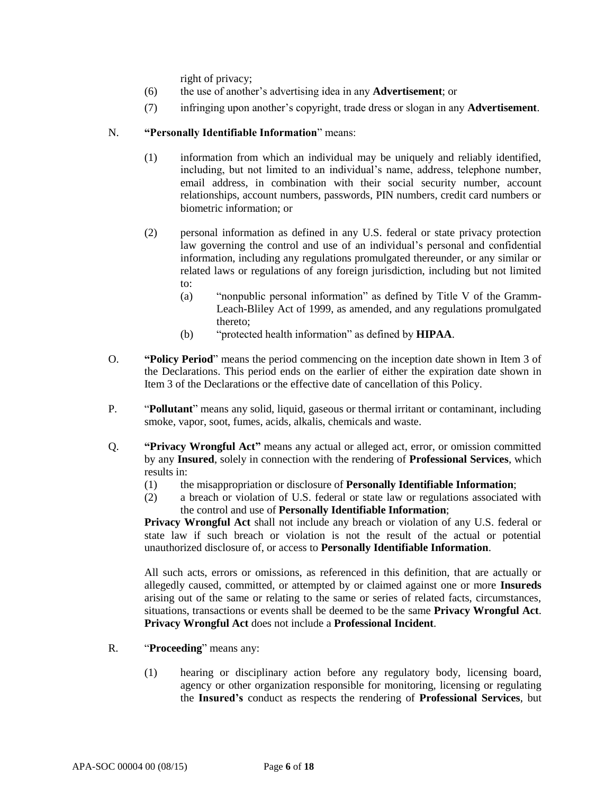right of privacy;

- (6) the use of another's advertising idea in any **Advertisement**; or
- (7) infringing upon another's copyright, trade dress or slogan in any **Advertisement**.

## N. **"Personally Identifiable Information**" means:

- (1) information from which an individual may be uniquely and reliably identified, including, but not limited to an individual's name, address, telephone number, email address, in combination with their social security number, account relationships, account numbers, passwords, PIN numbers, credit card numbers or biometric information; or
- (2) personal information as defined in any U.S. federal or state privacy protection law governing the control and use of an individual's personal and confidential information, including any regulations promulgated thereunder, or any similar or related laws or regulations of any foreign jurisdiction, including but not limited to:
	- (a) "nonpublic personal information" as defined by Title V of the Gramm-Leach-Bliley Act of 1999, as amended, and any regulations promulgated thereto;
	- (b) "protected health information" as defined by **HIPAA**.
- O. **"Policy Period**" means the period commencing on the inception date shown in Item 3 of the Declarations. This period ends on the earlier of either the expiration date shown in Item 3 of the Declarations or the effective date of cancellation of this Policy.
- P. "**Pollutant**" means any solid, liquid, gaseous or thermal irritant or contaminant, including smoke, vapor, soot, fumes, acids, alkalis, chemicals and waste.
- Q. **"Privacy Wrongful Act"** means any actual or alleged act, error, or omission committed by any **Insured**, solely in connection with the rendering of **Professional Services**, which results in:
	- (1) the misappropriation or disclosure of **Personally Identifiable Information**;
	- (2) a breach or violation of U.S. federal or state law or regulations associated with the control and use of **Personally Identifiable Information**;

**Privacy Wrongful Act** shall not include any breach or violation of any U.S. federal or state law if such breach or violation is not the result of the actual or potential unauthorized disclosure of, or access to **Personally Identifiable Information**.

All such acts, errors or omissions, as referenced in this definition, that are actually or allegedly caused, committed, or attempted by or claimed against one or more **Insureds** arising out of the same or relating to the same or series of related facts, circumstances, situations, transactions or events shall be deemed to be the same **Privacy Wrongful Act**. **Privacy Wrongful Act** does not include a **Professional Incident**.

- R. "**Proceeding**" means any:
	- (1) hearing or disciplinary action before any regulatory body, licensing board, agency or other organization responsible for monitoring, licensing or regulating the **Insured's** conduct as respects the rendering of **Professional Services**, but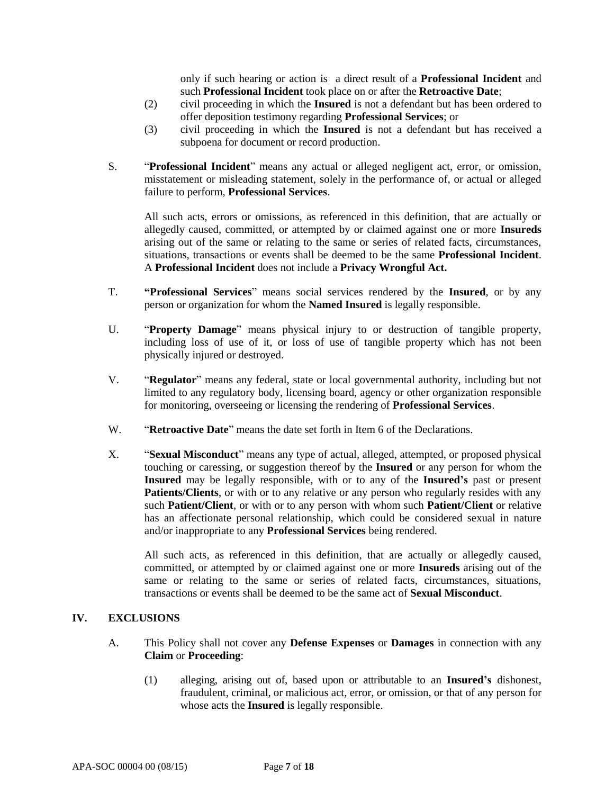only if such hearing or action is a direct result of a **Professional Incident** and such **Professional Incident** took place on or after the **Retroactive Date**;

- (2) civil proceeding in which the **Insured** is not a defendant but has been ordered to offer deposition testimony regarding **Professional Services**; or
- (3) civil proceeding in which the **Insured** is not a defendant but has received a subpoena for document or record production.
- S. "**Professional Incident**" means any actual or alleged negligent act, error, or omission, misstatement or misleading statement, solely in the performance of, or actual or alleged failure to perform, **Professional Services**.

All such acts, errors or omissions, as referenced in this definition, that are actually or allegedly caused, committed, or attempted by or claimed against one or more **Insureds** arising out of the same or relating to the same or series of related facts, circumstances, situations, transactions or events shall be deemed to be the same **Professional Incident**. A **Professional Incident** does not include a **Privacy Wrongful Act.**

- T. **"Professional Services**" means social services rendered by the **Insured**, or by any person or organization for whom the **Named Insured** is legally responsible.
- U. "**Property Damage**" means physical injury to or destruction of tangible property, including loss of use of it, or loss of use of tangible property which has not been physically injured or destroyed.
- V. "**Regulator**" means any federal, state or local governmental authority, including but not limited to any regulatory body, licensing board, agency or other organization responsible for monitoring, overseeing or licensing the rendering of **Professional Services**.
- W. "**Retroactive Date**" means the date set forth in Item 6 of the Declarations.
- X. "**Sexual Misconduct**" means any type of actual, alleged, attempted, or proposed physical touching or caressing, or suggestion thereof by the **Insured** or any person for whom the **Insured** may be legally responsible, with or to any of the **Insured's** past or present **Patients/Clients**, or with or to any relative or any person who regularly resides with any such **Patient/Client**, or with or to any person with whom such **Patient/Client** or relative has an affectionate personal relationship, which could be considered sexual in nature and/or inappropriate to any **Professional Services** being rendered.

All such acts, as referenced in this definition, that are actually or allegedly caused, committed, or attempted by or claimed against one or more **Insureds** arising out of the same or relating to the same or series of related facts, circumstances, situations, transactions or events shall be deemed to be the same act of **Sexual Misconduct**.

# **IV. EXCLUSIONS**

- A. This Policy shall not cover any **Defense Expenses** or **Damages** in connection with any **Claim** or **Proceeding**:
	- (1) alleging, arising out of, based upon or attributable to an **Insured's** dishonest, fraudulent, criminal, or malicious act, error, or omission, or that of any person for whose acts the **Insured** is legally responsible.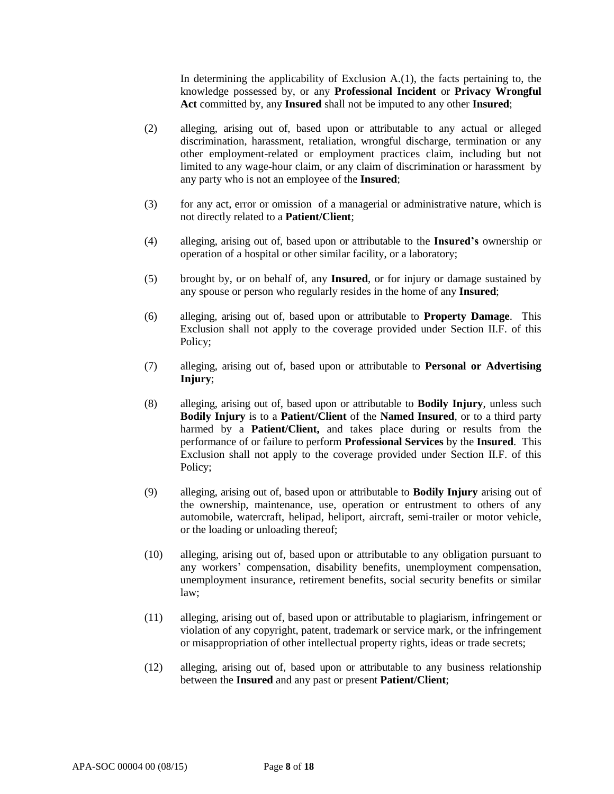In determining the applicability of Exclusion A.(1), the facts pertaining to, the knowledge possessed by, or any **Professional Incident** or **Privacy Wrongful Act** committed by, any **Insured** shall not be imputed to any other **Insured**;

- (2) alleging, arising out of, based upon or attributable to any actual or alleged discrimination, harassment, retaliation, wrongful discharge, termination or any other employment-related or employment practices claim, including but not limited to any wage-hour claim, or any claim of discrimination or harassment by any party who is not an employee of the **Insured**;
- (3) for any act, error or omission of a managerial or administrative nature, which is not directly related to a **Patient/Client**;
- (4) alleging, arising out of, based upon or attributable to the **Insured's** ownership or operation of a hospital or other similar facility, or a laboratory;
- (5) brought by, or on behalf of, any **Insured**, or for injury or damage sustained by any spouse or person who regularly resides in the home of any **Insured**;
- (6) alleging, arising out of, based upon or attributable to **Property Damage**. This Exclusion shall not apply to the coverage provided under Section II.F. of this Policy;
- (7) alleging, arising out of, based upon or attributable to **Personal or Advertising Injury**;
- (8) alleging, arising out of, based upon or attributable to **Bodily Injury**, unless such **Bodily Injury** is to a **Patient/Client** of the **Named Insured**, or to a third party harmed by a **Patient/Client,** and takes place during or results from the performance of or failure to perform **Professional Services** by the **Insured**. This Exclusion shall not apply to the coverage provided under Section II.F. of this Policy;
- (9) alleging, arising out of, based upon or attributable to **Bodily Injury** arising out of the ownership, maintenance, use, operation or entrustment to others of any automobile, watercraft, helipad, heliport, aircraft, semi-trailer or motor vehicle, or the loading or unloading thereof;
- (10) alleging, arising out of, based upon or attributable to any obligation pursuant to any workers' compensation, disability benefits, unemployment compensation, unemployment insurance, retirement benefits, social security benefits or similar law;
- (11) alleging, arising out of, based upon or attributable to plagiarism, infringement or violation of any copyright, patent, trademark or service mark, or the infringement or misappropriation of other intellectual property rights, ideas or trade secrets;
- (12) alleging, arising out of, based upon or attributable to any business relationship between the **Insured** and any past or present **Patient/Client**;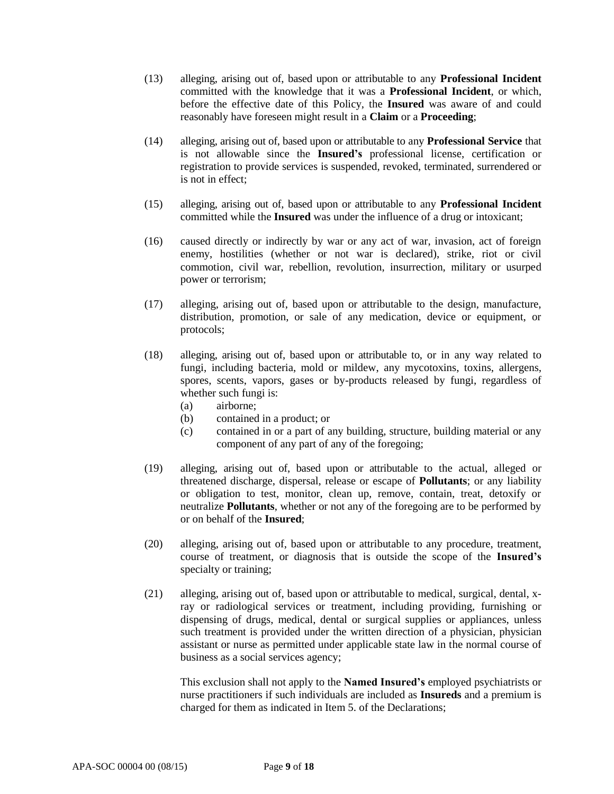- (13) alleging, arising out of, based upon or attributable to any **Professional Incident** committed with the knowledge that it was a **Professional Incident**, or which, before the effective date of this Policy, the **Insured** was aware of and could reasonably have foreseen might result in a **Claim** or a **Proceeding**;
- (14) alleging, arising out of, based upon or attributable to any **Professional Service** that is not allowable since the **Insured's** professional license, certification or registration to provide services is suspended, revoked, terminated, surrendered or is not in effect;
- (15) alleging, arising out of, based upon or attributable to any **Professional Incident** committed while the **Insured** was under the influence of a drug or intoxicant;
- (16) caused directly or indirectly by war or any act of war, invasion, act of foreign enemy, hostilities (whether or not war is declared), strike, riot or civil commotion, civil war, rebellion, revolution, insurrection, military or usurped power or terrorism;
- (17) alleging, arising out of, based upon or attributable to the design, manufacture, distribution, promotion, or sale of any medication, device or equipment, or protocols;
- (18) alleging, arising out of, based upon or attributable to, or in any way related to fungi, including bacteria, mold or mildew, any mycotoxins, toxins, allergens, spores, scents, vapors, gases or by-products released by fungi, regardless of whether such fungi is:
	- (a) airborne;
	- (b) contained in a product; or
	- (c) contained in or a part of any building, structure, building material or any component of any part of any of the foregoing;
- (19) alleging, arising out of, based upon or attributable to the actual, alleged or threatened discharge, dispersal, release or escape of **Pollutants**; or any liability or obligation to test, monitor, clean up, remove, contain, treat, detoxify or neutralize **Pollutants**, whether or not any of the foregoing are to be performed by or on behalf of the **Insured**;
- (20) alleging, arising out of, based upon or attributable to any procedure, treatment, course of treatment, or diagnosis that is outside the scope of the **Insured's** specialty or training;
- (21) alleging, arising out of, based upon or attributable to medical, surgical, dental, xray or radiological services or treatment, including providing, furnishing or dispensing of drugs, medical, dental or surgical supplies or appliances, unless such treatment is provided under the written direction of a physician, physician assistant or nurse as permitted under applicable state law in the normal course of business as a social services agency;

This exclusion shall not apply to the **Named Insured's** employed psychiatrists or nurse practitioners if such individuals are included as **Insureds** and a premium is charged for them as indicated in Item 5. of the Declarations;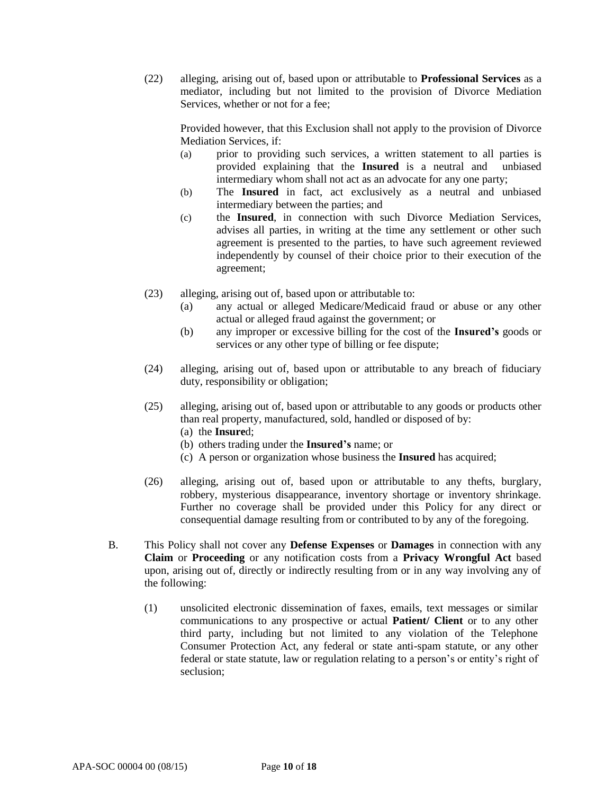(22) alleging, arising out of, based upon or attributable to **Professional Services** as a mediator, including but not limited to the provision of Divorce Mediation Services, whether or not for a fee;

Provided however, that this Exclusion shall not apply to the provision of Divorce Mediation Services, if:

- (a) prior to providing such services, a written statement to all parties is provided explaining that the **Insured** is a neutral and unbiased intermediary whom shall not act as an advocate for any one party;
- (b) The **Insured** in fact, act exclusively as a neutral and unbiased intermediary between the parties; and
- (c) the **Insured**, in connection with such Divorce Mediation Services, advises all parties, in writing at the time any settlement or other such agreement is presented to the parties, to have such agreement reviewed independently by counsel of their choice prior to their execution of the agreement;
- (23) alleging, arising out of, based upon or attributable to:
	- (a) any actual or alleged Medicare/Medicaid fraud or abuse or any other actual or alleged fraud against the government; or
	- (b) any improper or excessive billing for the cost of the **Insured's** goods or services or any other type of billing or fee dispute;
- (24) alleging, arising out of, based upon or attributable to any breach of fiduciary duty, responsibility or obligation;
- (25) alleging, arising out of, based upon or attributable to any goods or products other than real property, manufactured, sold, handled or disposed of by:
	- (a) the **Insure**d;
	- (b) others trading under the **Insured's** name; or
	- (c) A person or organization whose business the **Insured** has acquired;
- (26) alleging, arising out of, based upon or attributable to any thefts, burglary, robbery, mysterious disappearance, inventory shortage or inventory shrinkage. Further no coverage shall be provided under this Policy for any direct or consequential damage resulting from or contributed to by any of the foregoing.
- B. This Policy shall not cover any **Defense Expenses** or **Damages** in connection with any **Claim** or **Proceeding** or any notification costs from a **Privacy Wrongful Act** based upon, arising out of, directly or indirectly resulting from or in any way involving any of the following:
	- (1) unsolicited electronic dissemination of faxes, emails, text messages or similar communications to any prospective or actual **Patient/ Client** or to any other third party, including but not limited to any violation of the Telephone Consumer Protection Act, any federal or state anti-spam statute, or any other federal or state statute, law or regulation relating to a person's or entity's right of seclusion;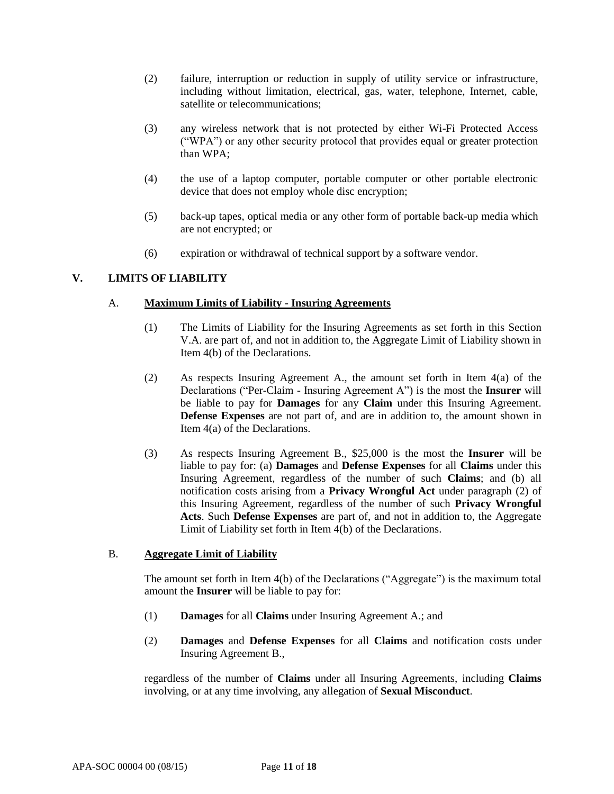- (2) failure, interruption or reduction in supply of utility service or infrastructure, including without limitation, electrical, gas, water, telephone, Internet, cable, satellite or telecommunications;
- (3) any wireless network that is not protected by either Wi-Fi Protected Access ("WPA") or any other security protocol that provides equal or greater protection than WPA;
- (4) the use of a laptop computer, portable computer or other portable electronic device that does not employ whole disc encryption;
- (5) back-up tapes, optical media or any other form of portable back-up media which are not encrypted; or
- (6) expiration or withdrawal of technical support by a software vendor.

# **V. LIMITS OF LIABILITY**

### A. **Maximum Limits of Liability - Insuring Agreements**

- (1) The Limits of Liability for the Insuring Agreements as set forth in this Section V.A. are part of, and not in addition to, the Aggregate Limit of Liability shown in Item 4(b) of the Declarations.
- (2) As respects Insuring Agreement A., the amount set forth in Item 4(a) of the Declarations ("Per-Claim - Insuring Agreement A") is the most the **Insurer** will be liable to pay for **Damages** for any **Claim** under this Insuring Agreement. **Defense Expenses** are not part of, and are in addition to, the amount shown in Item 4(a) of the Declarations.
- (3) As respects Insuring Agreement B., \$25,000 is the most the **Insurer** will be liable to pay for: (a) **Damages** and **Defense Expenses** for all **Claims** under this Insuring Agreement, regardless of the number of such **Claims**; and (b) all notification costs arising from a **Privacy Wrongful Act** under paragraph (2) of this Insuring Agreement, regardless of the number of such **Privacy Wrongful Acts**. Such **Defense Expenses** are part of, and not in addition to, the Aggregate Limit of Liability set forth in Item  $\overline{4(b)}$  of the Declarations.

#### B. **Aggregate Limit of Liability**

The amount set forth in Item 4(b) of the Declarations ("Aggregate") is the maximum total amount the **Insurer** will be liable to pay for:

- (1) **Damages** for all **Claims** under Insuring Agreement A.; and
- (2) **Damages** and **Defense Expenses** for all **Claims** and notification costs under Insuring Agreement B.,

regardless of the number of **Claims** under all Insuring Agreements, including **Claims**  involving, or at any time involving, any allegation of **Sexual Misconduct**.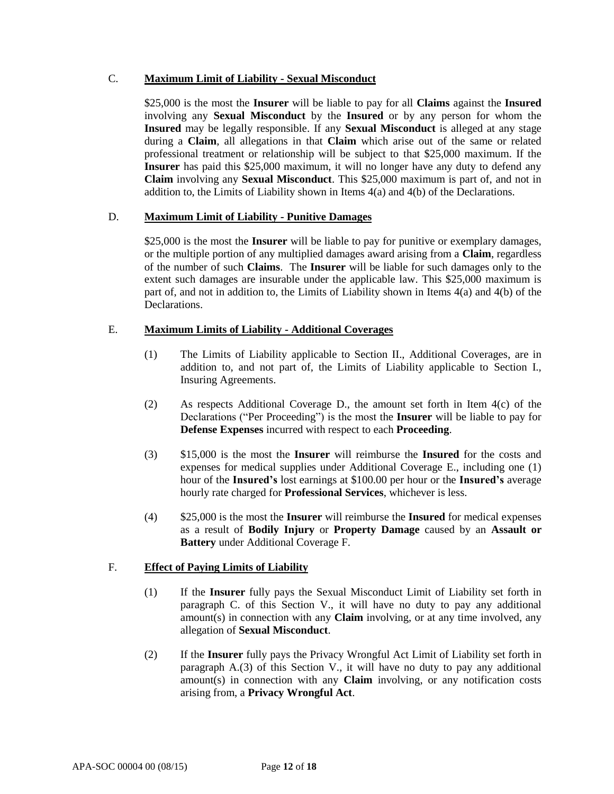## C. **Maximum Limit of Liability - Sexual Misconduct**

\$25,000 is the most the **Insurer** will be liable to pay for all **Claims** against the **Insured**  involving any **Sexual Misconduct** by the **Insured** or by any person for whom the **Insured** may be legally responsible. If any **Sexual Misconduct** is alleged at any stage during a **Claim**, all allegations in that **Claim** which arise out of the same or related professional treatment or relationship will be subject to that \$25,000 maximum. If the **Insurer** has paid this \$25,000 maximum, it will no longer have any duty to defend any **Claim** involving any **Sexual Misconduct**. This \$25,000 maximum is part of, and not in addition to, the Limits of Liability shown in Items 4(a) and 4(b) of the Declarations.

# D. **Maximum Limit of Liability - Punitive Damages**

\$25,000 is the most the **Insurer** will be liable to pay for punitive or exemplary damages, or the multiple portion of any multiplied damages award arising from a **Claim**, regardless of the number of such **Claims**. The **Insurer** will be liable for such damages only to the extent such damages are insurable under the applicable law. This \$25,000 maximum is part of, and not in addition to, the Limits of Liability shown in Items 4(a) and 4(b) of the Declarations.

# E. **Maximum Limits of Liability - Additional Coverages**

- (1) The Limits of Liability applicable to Section II., Additional Coverages, are in addition to, and not part of, the Limits of Liability applicable to Section I., Insuring Agreements.
- (2) As respects Additional Coverage D., the amount set forth in Item 4(c) of the Declarations ("Per Proceeding") is the most the **Insurer** will be liable to pay for **Defense Expenses** incurred with respect to each **Proceeding**.
- (3) \$15,000 is the most the **Insurer** will reimburse the **Insured** for the costs and expenses for medical supplies under Additional Coverage E., including one (1) hour of the **Insured's** lost earnings at \$100.00 per hour or the **Insured's** average hourly rate charged for **Professional Services**, whichever is less.
- (4) \$25,000 is the most the **Insurer** will reimburse the **Insured** for medical expenses as a result of **Bodily Injury** or **Property Damage** caused by an **Assault or Battery** under Additional Coverage F.

# F. **Effect of Paying Limits of Liability**

- (1) If the **Insurer** fully pays the Sexual Misconduct Limit of Liability set forth in paragraph C. of this Section V., it will have no duty to pay any additional amount(s) in connection with any **Claim** involving, or at any time involved, any allegation of **Sexual Misconduct**.
- (2) If the **Insurer** fully pays the Privacy Wrongful Act Limit of Liability set forth in paragraph A.(3) of this Section V., it will have no duty to pay any additional amount(s) in connection with any **Claim** involving, or any notification costs arising from, a **Privacy Wrongful Act**.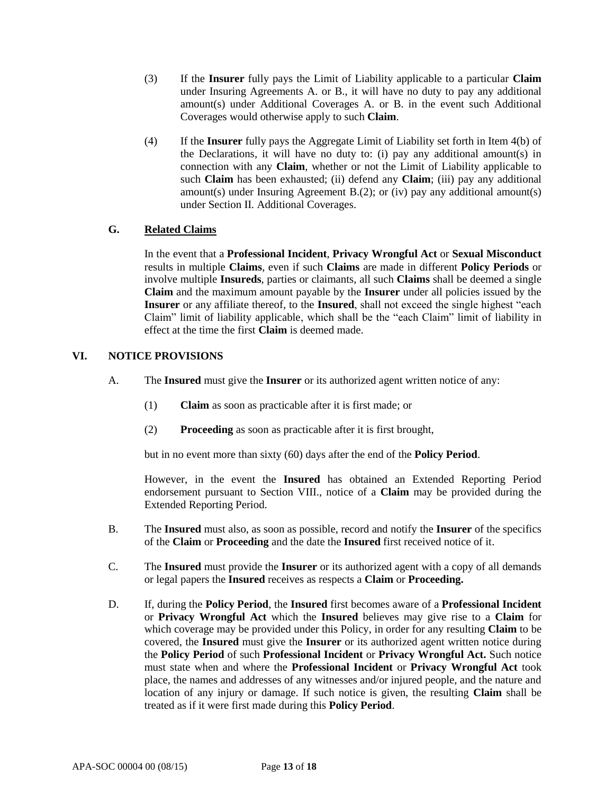- (3) If the **Insurer** fully pays the Limit of Liability applicable to a particular **Claim** under Insuring Agreements A. or B., it will have no duty to pay any additional amount(s) under Additional Coverages A. or B. in the event such Additional Coverages would otherwise apply to such **Claim**.
- (4) If the **Insurer** fully pays the Aggregate Limit of Liability set forth in Item 4(b) of the Declarations, it will have no duty to: (i) pay any additional amount(s) in connection with any **Claim**, whether or not the Limit of Liability applicable to such **Claim** has been exhausted; (ii) defend any **Claim**; (iii) pay any additional amount(s) under Insuring Agreement B.(2); or (iv) pay any additional amount(s) under Section II. Additional Coverages.

# **G. Related Claims**

In the event that a **Professional Incident**, **Privacy Wrongful Act** or **Sexual Misconduct** results in multiple **Claims**, even if such **Claims** are made in different **Policy Periods** or involve multiple **Insureds**, parties or claimants, all such **Claims** shall be deemed a single **Claim** and the maximum amount payable by the **Insurer** under all policies issued by the **Insurer** or any affiliate thereof, to the **Insured**, shall not exceed the single highest "each Claim" limit of liability applicable, which shall be the "each Claim" limit of liability in effect at the time the first **Claim** is deemed made.

# **VI. NOTICE PROVISIONS**

- A. The **Insured** must give the **Insurer** or its authorized agent written notice of any:
	- (1) **Claim** as soon as practicable after it is first made; or
	- (2) **Proceeding** as soon as practicable after it is first brought,

but in no event more than sixty (60) days after the end of the **Policy Period**.

However, in the event the **Insured** has obtained an Extended Reporting Period endorsement pursuant to Section VIII., notice of a **Claim** may be provided during the Extended Reporting Period.

- B. The **Insured** must also, as soon as possible, record and notify the **Insurer** of the specifics of the **Claim** or **Proceeding** and the date the **Insured** first received notice of it.
- C. The **Insured** must provide the **Insurer** or its authorized agent with a copy of all demands or legal papers the **Insured** receives as respects a **Claim** or **Proceeding.**
- D. If, during the **Policy Period**, the **Insured** first becomes aware of a **Professional Incident** or **Privacy Wrongful Act** which the **Insured** believes may give rise to a **Claim** for which coverage may be provided under this Policy, in order for any resulting **Claim** to be covered, the **Insured** must give the **Insurer** or its authorized agent written notice during the **Policy Period** of such **Professional Incident** or **Privacy Wrongful Act.** Such notice must state when and where the **Professional Incident** or **Privacy Wrongful Act** took place, the names and addresses of any witnesses and/or injured people, and the nature and location of any injury or damage. If such notice is given, the resulting **Claim** shall be treated as if it were first made during this **Policy Period**.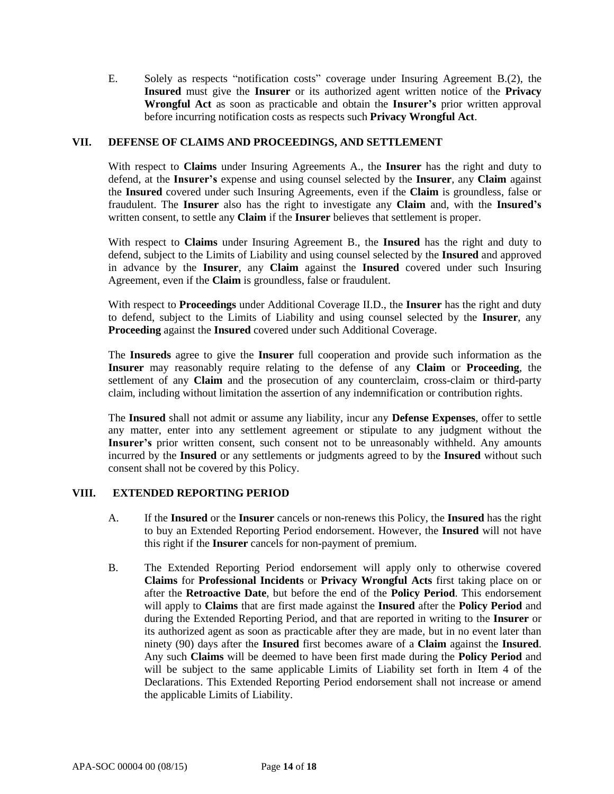E. Solely as respects "notification costs" coverage under Insuring Agreement B.(2), the **Insured** must give the **Insurer** or its authorized agent written notice of the **Privacy Wrongful Act** as soon as practicable and obtain the **Insurer's** prior written approval before incurring notification costs as respects such **Privacy Wrongful Act**.

## **VII. DEFENSE OF CLAIMS AND PROCEEDINGS, AND SETTLEMENT**

With respect to **Claims** under Insuring Agreements A., the **Insurer** has the right and duty to defend, at the **Insurer's** expense and using counsel selected by the **Insurer**, any **Claim** against the **Insured** covered under such Insuring Agreements, even if the **Claim** is groundless, false or fraudulent. The **Insurer** also has the right to investigate any **Claim** and, with the **Insured's** written consent, to settle any **Claim** if the **Insurer** believes that settlement is proper.

With respect to **Claims** under Insuring Agreement B., the **Insured** has the right and duty to defend, subject to the Limits of Liability and using counsel selected by the **Insured** and approved in advance by the **Insurer**, any **Claim** against the **Insured** covered under such Insuring Agreement, even if the **Claim** is groundless, false or fraudulent.

With respect to **Proceedings** under Additional Coverage II.D., the **Insurer** has the right and duty to defend, subject to the Limits of Liability and using counsel selected by the **Insurer**, any **Proceeding** against the **Insured** covered under such Additional Coverage.

The **Insureds** agree to give the **Insurer** full cooperation and provide such information as the **Insurer** may reasonably require relating to the defense of any **Claim** or **Proceeding**, the settlement of any **Claim** and the prosecution of any counterclaim, cross-claim or third-party claim, including without limitation the assertion of any indemnification or contribution rights.

The **Insured** shall not admit or assume any liability, incur any **Defense Expenses**, offer to settle any matter, enter into any settlement agreement or stipulate to any judgment without the **Insurer's** prior written consent, such consent not to be unreasonably withheld. Any amounts incurred by the **Insured** or any settlements or judgments agreed to by the **Insured** without such consent shall not be covered by this Policy.

## **VIII. EXTENDED REPORTING PERIOD**

- A. If the **Insured** or the **Insurer** cancels or non-renews this Policy, the **Insured** has the right to buy an Extended Reporting Period endorsement. However, the **Insured** will not have this right if the **Insurer** cancels for non-payment of premium.
- B. The Extended Reporting Period endorsement will apply only to otherwise covered **Claims** for **Professional Incidents** or **Privacy Wrongful Acts** first taking place on or after the **Retroactive Date**, but before the end of the **Policy Period**. This endorsement will apply to **Claims** that are first made against the **Insured** after the **Policy Period** and during the Extended Reporting Period, and that are reported in writing to the **Insurer** or its authorized agent as soon as practicable after they are made, but in no event later than ninety (90) days after the **Insured** first becomes aware of a **Claim** against the **Insured**. Any such **Claims** will be deemed to have been first made during the **Policy Period** and will be subject to the same applicable Limits of Liability set forth in Item 4 of the Declarations. This Extended Reporting Period endorsement shall not increase or amend the applicable Limits of Liability.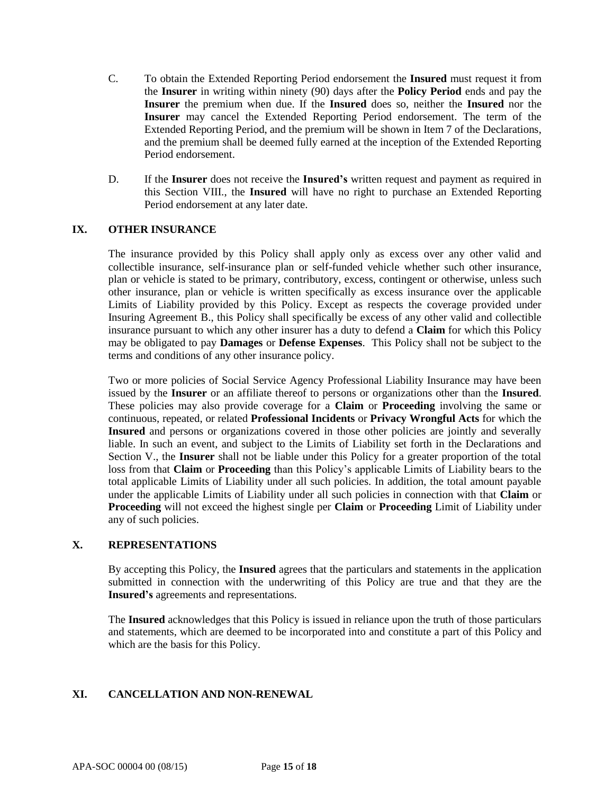- C. To obtain the Extended Reporting Period endorsement the **Insured** must request it from the **Insurer** in writing within ninety (90) days after the **Policy Period** ends and pay the **Insurer** the premium when due. If the **Insured** does so, neither the **Insured** nor the **Insurer** may cancel the Extended Reporting Period endorsement. The term of the Extended Reporting Period, and the premium will be shown in Item 7 of the Declarations, and the premium shall be deemed fully earned at the inception of the Extended Reporting Period endorsement.
- D. If the **Insurer** does not receive the **Insured's** written request and payment as required in this Section VIII., the **Insured** will have no right to purchase an Extended Reporting Period endorsement at any later date.

## **IX. OTHER INSURANCE**

The insurance provided by this Policy shall apply only as excess over any other valid and collectible insurance, self-insurance plan or self-funded vehicle whether such other insurance, plan or vehicle is stated to be primary, contributory, excess, contingent or otherwise, unless such other insurance, plan or vehicle is written specifically as excess insurance over the applicable Limits of Liability provided by this Policy. Except as respects the coverage provided under Insuring Agreement B., this Policy shall specifically be excess of any other valid and collectible insurance pursuant to which any other insurer has a duty to defend a **Claim** for which this Policy may be obligated to pay **Damages** or **Defense Expenses**. This Policy shall not be subject to the terms and conditions of any other insurance policy.

Two or more policies of Social Service Agency Professional Liability Insurance may have been issued by the **Insurer** or an affiliate thereof to persons or organizations other than the **Insured**. These policies may also provide coverage for a **Claim** or **Proceeding** involving the same or continuous, repeated, or related **Professional Incidents** or **Privacy Wrongful Acts** for which the **Insured** and persons or organizations covered in those other policies are jointly and severally liable. In such an event, and subject to the Limits of Liability set forth in the Declarations and Section V., the **Insurer** shall not be liable under this Policy for a greater proportion of the total loss from that **Claim** or **Proceeding** than this Policy's applicable Limits of Liability bears to the total applicable Limits of Liability under all such policies. In addition, the total amount payable under the applicable Limits of Liability under all such policies in connection with that **Claim** or **Proceeding** will not exceed the highest single per **Claim** or **Proceeding** Limit of Liability under any of such policies.

## **X. REPRESENTATIONS**

By accepting this Policy, the **Insured** agrees that the particulars and statements in the application submitted in connection with the underwriting of this Policy are true and that they are the **Insured's** agreements and representations.

The **Insured** acknowledges that this Policy is issued in reliance upon the truth of those particulars and statements, which are deemed to be incorporated into and constitute a part of this Policy and which are the basis for this Policy.

## **XI. CANCELLATION AND NON-RENEWAL**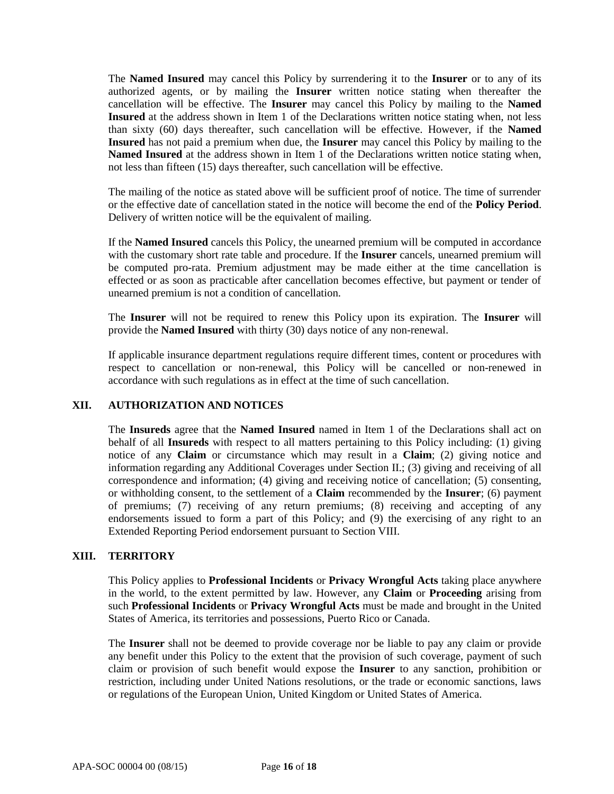The **Named Insured** may cancel this Policy by surrendering it to the **Insurer** or to any of its authorized agents, or by mailing the **Insurer** written notice stating when thereafter the cancellation will be effective. The **Insurer** may cancel this Policy by mailing to the **Named Insured** at the address shown in Item 1 of the Declarations written notice stating when, not less than sixty (60) days thereafter, such cancellation will be effective. However, if the **Named Insured** has not paid a premium when due, the **Insurer** may cancel this Policy by mailing to the **Named Insured** at the address shown in Item 1 of the Declarations written notice stating when, not less than fifteen (15) days thereafter, such cancellation will be effective.

The mailing of the notice as stated above will be sufficient proof of notice. The time of surrender or the effective date of cancellation stated in the notice will become the end of the **Policy Period**. Delivery of written notice will be the equivalent of mailing.

If the **Named Insured** cancels this Policy, the unearned premium will be computed in accordance with the customary short rate table and procedure. If the **Insurer** cancels, unearned premium will be computed pro-rata. Premium adjustment may be made either at the time cancellation is effected or as soon as practicable after cancellation becomes effective, but payment or tender of unearned premium is not a condition of cancellation.

The **Insurer** will not be required to renew this Policy upon its expiration. The **Insurer** will provide the **Named Insured** with thirty (30) days notice of any non-renewal.

If applicable insurance department regulations require different times, content or procedures with respect to cancellation or non-renewal, this Policy will be cancelled or non-renewed in accordance with such regulations as in effect at the time of such cancellation.

## **XII. AUTHORIZATION AND NOTICES**

The **Insureds** agree that the **Named Insured** named in Item 1 of the Declarations shall act on behalf of all **Insureds** with respect to all matters pertaining to this Policy including: (1) giving notice of any **Claim** or circumstance which may result in a **Claim**; (2) giving notice and information regarding any Additional Coverages under Section II.; (3) giving and receiving of all correspondence and information; (4) giving and receiving notice of cancellation; (5) consenting, or withholding consent, to the settlement of a **Claim** recommended by the **Insurer**; (6) payment of premiums; (7) receiving of any return premiums; (8) receiving and accepting of any endorsements issued to form a part of this Policy; and (9) the exercising of any right to an Extended Reporting Period endorsement pursuant to Section VIII.

## **XIII. TERRITORY**

This Policy applies to **Professional Incidents** or **Privacy Wrongful Acts** taking place anywhere in the world, to the extent permitted by law. However, any **Claim** or **Proceeding** arising from such **Professional Incidents** or **Privacy Wrongful Acts** must be made and brought in the United States of America, its territories and possessions, Puerto Rico or Canada.

The **Insurer** shall not be deemed to provide coverage nor be liable to pay any claim or provide any benefit under this Policy to the extent that the provision of such coverage, payment of such claim or provision of such benefit would expose the **Insurer** to any sanction, prohibition or restriction, including under United Nations resolutions, or the trade or economic sanctions, laws or regulations of the European Union, United Kingdom or United States of America.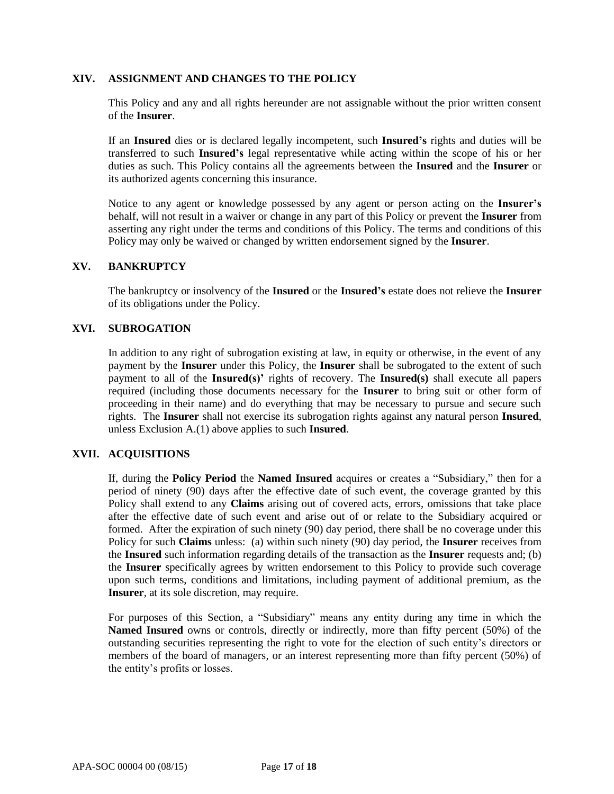### **XIV. ASSIGNMENT AND CHANGES TO THE POLICY**

This Policy and any and all rights hereunder are not assignable without the prior written consent of the **Insurer**.

If an **Insured** dies or is declared legally incompetent, such **Insured's** rights and duties will be transferred to such **Insured's** legal representative while acting within the scope of his or her duties as such. This Policy contains all the agreements between the **Insured** and the **Insurer** or its authorized agents concerning this insurance.

Notice to any agent or knowledge possessed by any agent or person acting on the **Insurer's**  behalf, will not result in a waiver or change in any part of this Policy or prevent the **Insurer** from asserting any right under the terms and conditions of this Policy. The terms and conditions of this Policy may only be waived or changed by written endorsement signed by the **Insurer**.

### **XV. BANKRUPTCY**

The bankruptcy or insolvency of the **Insured** or the **Insured's** estate does not relieve the **Insurer**  of its obligations under the Policy.

## **XVI. SUBROGATION**

In addition to any right of subrogation existing at law, in equity or otherwise, in the event of any payment by the **Insurer** under this Policy, the **Insurer** shall be subrogated to the extent of such payment to all of the **Insured(s)'** rights of recovery. The **Insured(s)** shall execute all papers required (including those documents necessary for the **Insurer** to bring suit or other form of proceeding in their name) and do everything that may be necessary to pursue and secure such rights. The **Insurer** shall not exercise its subrogation rights against any natural person **Insured**, unless Exclusion A.(1) above applies to such **Insured**.

#### **XVII. ACQUISITIONS**

If, during the **Policy Period** the **Named Insured** acquires or creates a "Subsidiary," then for a period of ninety (90) days after the effective date of such event, the coverage granted by this Policy shall extend to any **Claims** arising out of covered acts, errors, omissions that take place after the effective date of such event and arise out of or relate to the Subsidiary acquired or formed. After the expiration of such ninety (90) day period, there shall be no coverage under this Policy for such **Claims** unless: (a) within such ninety (90) day period, the **Insurer** receives from the **Insured** such information regarding details of the transaction as the **Insurer** requests and; (b) the **Insurer** specifically agrees by written endorsement to this Policy to provide such coverage upon such terms, conditions and limitations, including payment of additional premium, as the **Insurer**, at its sole discretion, may require.

For purposes of this Section, a "Subsidiary" means any entity during any time in which the **Named Insured** owns or controls, directly or indirectly, more than fifty percent (50%) of the outstanding securities representing the right to vote for the election of such entity's directors or members of the board of managers, or an interest representing more than fifty percent (50%) of the entity's profits or losses.